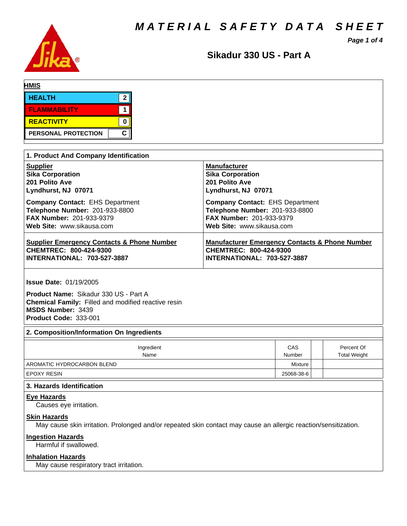*MATERIAL SAFETY DATA SHEET*



**Sikadur330US-PartA**

*Page 1 of 4*

| <b>HMIS</b>                |      |  |  |
|----------------------------|------|--|--|
| <b>HEALTH</b>              | ົ    |  |  |
| <b>FLAMMABILITY</b>        |      |  |  |
| REACTIVITY                 |      |  |  |
| <b>PERSONAL PROTECTION</b> | C II |  |  |

| 1. Product And Company Identification                 |                                                           |  |  |  |  |
|-------------------------------------------------------|-----------------------------------------------------------|--|--|--|--|
| <b>Supplier</b>                                       | <b>Manufacturer</b>                                       |  |  |  |  |
| <b>Sika Corporation</b>                               | <b>Sika Corporation</b>                                   |  |  |  |  |
| 201 Polito Ave                                        | 201 Polito Ave                                            |  |  |  |  |
| Lyndhurst, NJ 07071                                   | Lyndhurst, NJ 07071                                       |  |  |  |  |
| <b>Company Contact: EHS Department</b>                | <b>Company Contact: EHS Department</b>                    |  |  |  |  |
| Telephone Number: 201-933-8800                        | Telephone Number: 201-933-8800                            |  |  |  |  |
| <b>FAX Number: 201-933-9379</b>                       | <b>FAX Number: 201-933-9379</b>                           |  |  |  |  |
| Web Site: www.sikausa.com                             | Web Site: www.sikausa.com                                 |  |  |  |  |
| <b>Supplier Emergency Contacts &amp; Phone Number</b> | <b>Manufacturer Emergency Contacts &amp; Phone Number</b> |  |  |  |  |
| CHEMTREC: 800-424-9300                                | CHEMTREC: 800-424-9300                                    |  |  |  |  |
| <b>INTERNATIONAL: 703-527-3887</b>                    | <b>INTERNATIONAL: 703-527-3887</b>                        |  |  |  |  |

**Issue Date:** 01/19/2005

**Product Name: Sikadur 330 US - Part A Chemical Family:** Filled and modified reactive resin **MSDS Number:** 3439 **Product Code:** 333-001

## **2. Composition/Information On Ingredients**

| Ingredient<br>Name         | CAS<br>Number | Percent Of<br><b>Total Weight</b> |
|----------------------------|---------------|-----------------------------------|
| AROMATIC HYDROCARBON BLEND | Mixture       |                                   |
| <b>EPOXY RESIN</b>         | 25068-38-6    |                                   |

### **3. Hazards Identification**

### **Eye Hazards**

Causes eye irritation.

## **Skin Hazards**

May cause skin irritation. Prolonged and/or repeated skin contact may cause an allergic reaction/sensitization.

## **Ingestion Hazards**

Harmful if swallowed.

## **Inhalation Hazards**

May cause respiratory tract irritation.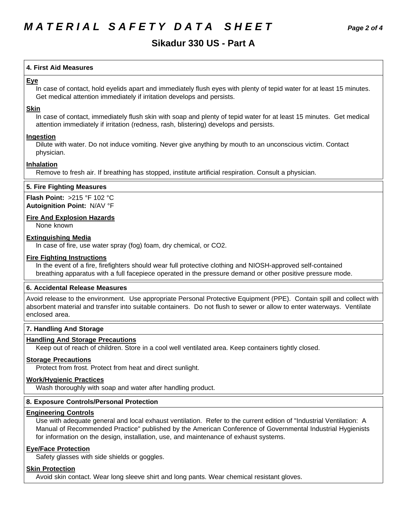## **Sikadur330US-PartA**

## **4.First AidMeasures**

### **Eye**

In case of contact, hold eyelids apart and immediately flush eyes with plenty of tepid water for at least 15 minutes. Get medical attention immediately if irritation develops and persists.

### **Skin**

In case of contact, immediately flush skin with soap and plenty of tepid water for at least 15 minutes. Get medical attention immediately if irritation (redness, rash, blistering) develops and persists.

### **Ingestion**

Dilute with water. Do not induce vomiting. Never give anything by mouth to an unconscious victim. Contact physician.

## **Inhalation**

Remove to fresh air. If breathing has stopped, institute artificial respiration. Consult a physician.

## **5. Fire Fighting Measures**

**Flash Point:** >215°F102°C **Autoignition Point:** N/AV°F

## **Fire And Explosion Hazards**

None known

### **Extinguishing Media**

In case of fire, use water spray (fog) foam, dry chemical, or CO2.

### **Fire Fighting Instructions**

In the event of a fire, firefighters should wear full protective clothing and NIOSH-approved self-contained breathing apparatus with a full facepiece operated in the pressure demand or other positive pressure mode.

## **6. Accidental Release Measures**

Avoid release to the environment. Use appropriate Personal Protective Equipment (PPE). Contain spill and collect with absorbent material and transfer into suitable containers. Do not flush to sewer or allow to enter waterways. Ventilate enclosed area.

## **7. Handling And Storage**

## **Handling And Storage Precautions**

Keep out of reach of children. Store in a cool well ventilated area. Keep containers tightly closed.

## **Storage Precautions**

Protect from frost. Protect from heat and direct sunlight.

## **Work/Hygienic Practices**

Wash thoroughly with soap and water after handling product.

## **8. Exposure Controls/Personal Protection**

### **Engineering Controls**

Use with adequate general and local exhaust ventilation. Refer to the current edition of "Industrial Ventilation: A Manual of Recommended Practice" published by the American Conference of Governmental Industrial Hygienists for information on the design, installation, use, and maintenance of exhaust systems.

## **Eye/Face Protection**

Safety glasses with side shields or goggles.

## **Skin Protection**

Avoid skin contact. Wear long sleeve shirt and long pants. Wear chemical resistant gloves.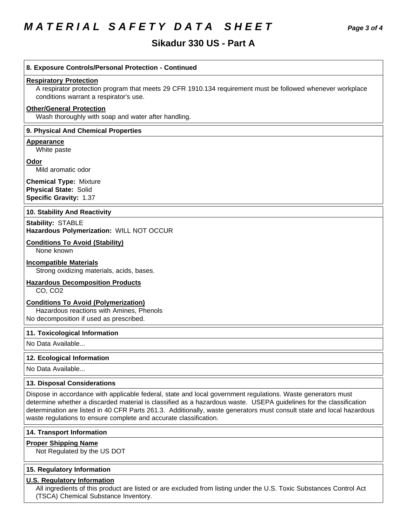# *MATERIAL SAFETY DATA SHEET Page 3 of 4*

## **Sikadur330US-PartA**

### **8. Exposure Controls/Personal Protection - Continued**

#### **Respiratory Protection**

A respirator protection program that meets 29 CFR 1910.134 requirement must be followed whenever workplace conditions warrant a respirator's use.

## **Other/General Protection**

Wash thoroughly with soap and water after handling.

### **9. Physical And Chemical Properties**

**Appearance** White paste

**Odor**

Mild aromatic odor

**Chemical Type:** Mixture **Physical State:** Solid **Specific Gravity:** 1.37

#### **10. Stability And Reactivity**

**Stability: STABLE Hazardous Polymerization:** WILL NOT OCCUR

### **Conditions To Avoid (Stability)**

None known

### **Incompatible Materials**

Strong oxidizing materials, acids, bases.

## **Hazardous Decomposition Products**

CO, CO2

### **Conditions To Avoid (Polymerization)**

Hazardous reactions with Amines, Phenols No decomposition if used as prescribed.

#### **11. Toxicological Information**

No Data Available...

### **12. Ecological Information**

No Data Available...

### **13. Disposal Considerations**

Dispose in accordance with applicable federal, state and local government regulations. Waste generators must determine whether a discarded material is classified as a hazardous waste. USEPA guidelines for the classification determination are listed in 40 CFR Parts 261.3. Additionally, waste generators must consult state and local hazardous waste regulations to ensure complete and accurate classification.

#### **14. Transport Information**

### **Proper Shipping Name**

Not Regulated by the US DOT

#### **15. Regulatory Information**

### **U.S. Regulatory Information**

All ingredients of this product are listed or are excluded from listing under the U.S. Toxic Substances Control Act (TSCA) Chemical Substance Inventory.